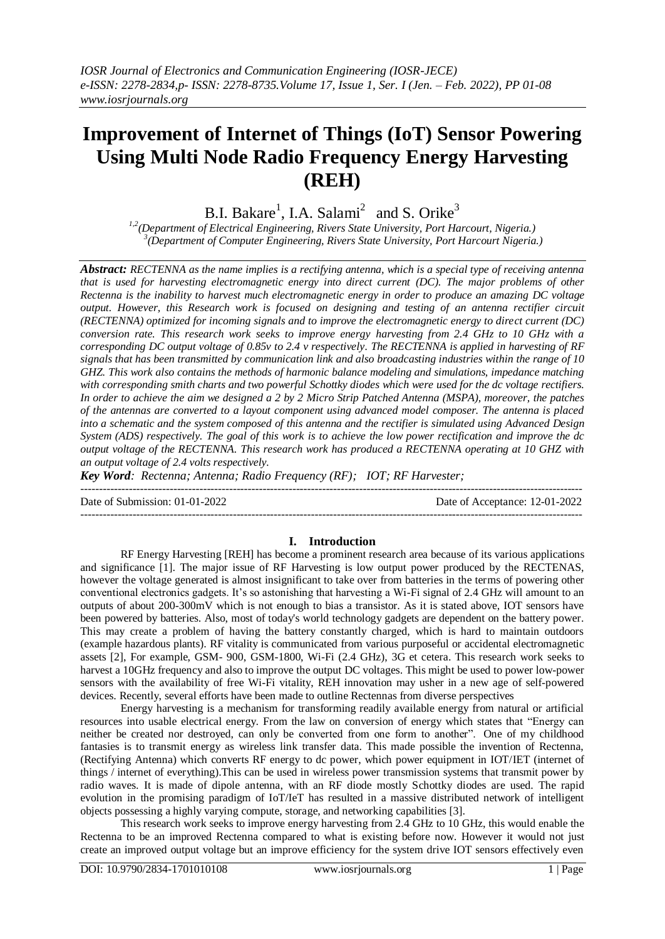# **Improvement of Internet of Things (IoT) Sensor Powering Using Multi Node Radio Frequency Energy Harvesting (REH)**

B.I. Bakare<sup>1</sup>, I.A. Salami<sup>2</sup> and S. Orike<sup>3</sup>

*1,2(Department of Electrical Engineering, Rivers State University, Port Harcourt, Nigeria.) 3 (Department of Computer Engineering, Rivers State University, Port Harcourt Nigeria.)*

*Abstract: RECTENNA as the name implies is a rectifying antenna, which is a special type of receiving antenna that is used for harvesting electromagnetic energy into direct current (DC). The major problems of other Rectenna is the inability to harvest much electromagnetic energy in order to produce an amazing DC voltage output. However, this Research work is focused on designing and testing of an antenna rectifier circuit (RECTENNA) optimized for incoming signals and to improve the electromagnetic energy to direct current (DC) conversion rate. This research work seeks to improve energy harvesting from 2.4 GHz to 10 GHz with a corresponding DC output voltage of 0.85v to 2.4 v respectively. The RECTENNA is applied in harvesting of RF signals that has been transmitted by communication link and also broadcasting industries within the range of 10 GHZ. This work also contains the methods of harmonic balance modeling and simulations, impedance matching with corresponding smith charts and two powerful Schottky diodes which were used for the dc voltage rectifiers. In order to achieve the aim we designed a 2 by 2 Micro Strip Patched Antenna (MSPA), moreover, the patches of the antennas are converted to a layout component using advanced model composer. The antenna is placed into a schematic and the system composed of this antenna and the rectifier is simulated using Advanced Design System (ADS) respectively. The goal of this work is to achieve the low power rectification and improve the dc output voltage of the RECTENNA. This research work has produced a RECTENNA operating at 10 GHZ with an output voltage of 2.4 volts respectively.*

*Key Word: Rectenna; Antenna; Radio Frequency (RF); IOT; RF Harvester;*

---------------------------------------------------------------------------------------------------------------------------------------

--------------------------------------------------------------------------------------------------------------------------------------- Date of Submission: 01-01-2022 Date of Acceptance: 12-01-2022

## **I. Introduction**

RF Energy Harvesting [REH] has become a prominent research area because of its various applications and significance [1]. The major issue of RF Harvesting is low output power produced by the RECTENAS, however the voltage generated is almost insignificant to take over from batteries in the terms of powering other conventional electronics gadgets. It's so astonishing that harvesting a Wi-Fi signal of 2.4 GHz will amount to an outputs of about 200-300mV which is not enough to bias a transistor. As it is stated above, IOT sensors have been powered by batteries. Also, most of today's world technology gadgets are dependent on the battery power. This may create a problem of having the battery constantly charged, which is hard to maintain outdoors (example hazardous plants). RF vitality is communicated from various purposeful or accidental electromagnetic assets [2], For example, GSM- 900, GSM-1800, Wi-Fi (2.4 GHz), 3G et cetera. This research work seeks to harvest a 10GHz frequency and also to improve the output DC voltages. This might be used to power low-power sensors with the availability of free Wi-Fi vitality, REH innovation may usher in a new age of self-powered devices. Recently, several efforts have been made to outline Rectennas from diverse perspectives

Energy harvesting is a mechanism for transforming readily available energy from natural or artificial resources into usable electrical energy. From the law on conversion of energy which states that "Energy can neither be created nor destroyed, can only be converted from one form to another". One of my childhood fantasies is to transmit energy as wireless link transfer data. This made possible the invention of Rectenna, (Rectifying Antenna) which converts RF energy to dc power, which power equipment in IOT/IET (internet of things / internet of everything).This can be used in wireless power transmission systems that transmit power by radio waves. It is made of dipole antenna, with an RF diode mostly Schottky diodes are used. The rapid evolution in the promising paradigm of IoT/IeT has resulted in a massive distributed network of intelligent objects possessing a highly varying compute, storage, and networking capabilities [3].

This research work seeks to improve energy harvesting from 2.4 GHz to 10 GHz, this would enable the Rectenna to be an improved Rectenna compared to what is existing before now. However it would not just create an improved output voltage but an improve efficiency for the system drive IOT sensors effectively even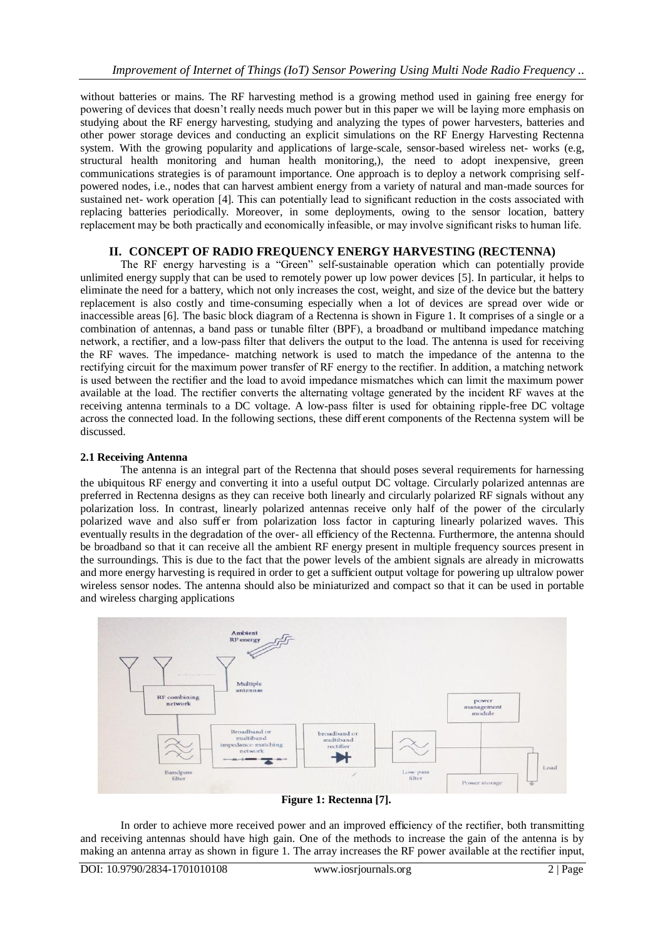without batteries or mains. The RF harvesting method is a growing method used in gaining free energy for powering of devices that doesn't really needs much power but in this paper we will be laying more emphasis on studying about the RF energy harvesting, studying and analyzing the types of power harvesters, batteries and other power storage devices and conducting an explicit simulations on the RF Energy Harvesting Rectenna system. With the growing popularity and applications of large-scale, sensor-based wireless net- works (e.g, structural health monitoring and human health monitoring,), the need to adopt inexpensive, green communications strategies is of paramount importance. One approach is to deploy a network comprising selfpowered nodes, i.e., nodes that can harvest ambient energy from a variety of natural and man-made sources for sustained net- work operation [4]. This can potentially lead to significant reduction in the costs associated with replacing batteries periodically. Moreover, in some deployments, owing to the sensor location, battery replacement may be both practically and economically infeasible, or may involve significant risks to human life.

# **II. CONCEPT OF RADIO FREQUENCY ENERGY HARVESTING (RECTENNA)**

The RF energy harvesting is a "Green" self-sustainable operation which can potentially provide unlimited energy supply that can be used to remotely power up low power devices [5]. In particular, it helps to eliminate the need for a battery, which not only increases the cost, weight, and size of the device but the battery replacement is also costly and time-consuming especially when a lot of devices are spread over wide or inaccessible areas [6]. The basic block diagram of a Rectenna is shown in Figure 1. It comprises of a single or a combination of antennas, a band pass or tunable filter (BPF), a broadband or multiband impedance matching network, a rectifier, and a low-pass filter that delivers the output to the load. The antenna is used for receiving the RF waves. The impedance- matching network is used to match the impedance of the antenna to the rectifying circuit for the maximum power transfer of RF energy to the rectifier. In addition, a matching network is used between the rectifier and the load to avoid impedance mismatches which can limit the maximum power available at the load. The rectifier converts the alternating voltage generated by the incident RF waves at the receiving antenna terminals to a DC voltage. A low-pass filter is used for obtaining ripple-free DC voltage across the connected load. In the following sections, these diff erent components of the Rectenna system will be discussed.

# **2.1 Receiving Antenna**

The antenna is an integral part of the Rectenna that should poses several requirements for harnessing the ubiquitous RF energy and converting it into a useful output DC voltage. Circularly polarized antennas are preferred in Rectenna designs as they can receive both linearly and circularly polarized RF signals without any polarization loss. In contrast, linearly polarized antennas receive only half of the power of the circularly polarized wave and also suffer from polarization loss factor in capturing linearly polarized waves. This eventually results in the degradation of the over- all efficiency of the Rectenna. Furthermore, the antenna should be broadband so that it can receive all the ambient RF energy present in multiple frequency sources present in the surroundings. This is due to the fact that the power levels of the ambient signals are already in microwatts and more energy harvesting is required in order to get a sufficient output voltage for powering up ultralow power wireless sensor nodes. The antenna should also be miniaturized and compact so that it can be used in portable and wireless charging applications



**Figure 1: Rectenna [7].**

In order to achieve more received power and an improved efficiency of the rectifier, both transmitting and receiving antennas should have high gain. One of the methods to increase the gain of the antenna is by making an antenna array as shown in figure 1. The array increases the RF power available at the rectifier input,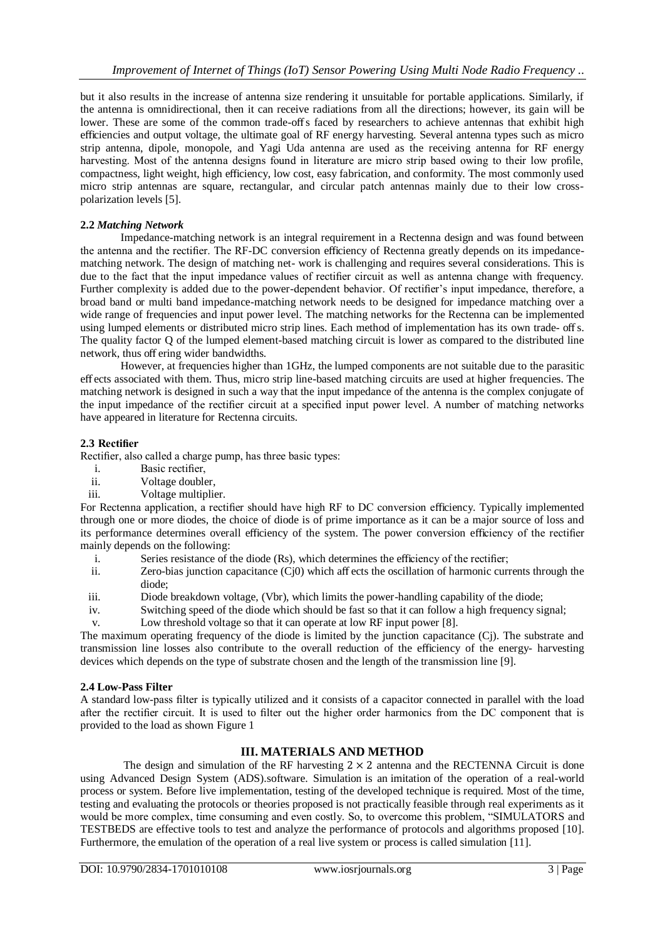but it also results in the increase of antenna size rendering it unsuitable for portable applications. Similarly, if the antenna is omnidirectional, then it can receive radiations from all the directions; however, its gain will be lower. These are some of the common trade-off s faced by researchers to achieve antennas that exhibit high efficiencies and output voltage, the ultimate goal of RF energy harvesting. Several antenna types such as micro strip antenna, dipole, monopole, and Yagi Uda antenna are used as the receiving antenna for RF energy harvesting. Most of the antenna designs found in literature are micro strip based owing to their low profile, compactness, light weight, high efficiency, low cost, easy fabrication, and conformity. The most commonly used micro strip antennas are square, rectangular, and circular patch antennas mainly due to their low crosspolarization levels [5].

#### **2.2** *Matching Network*

Impedance-matching network is an integral requirement in a Rectenna design and was found between the antenna and the rectifier. The RF-DC conversion efficiency of Rectenna greatly depends on its impedancematching network. The design of matching net- work is challenging and requires several considerations. This is due to the fact that the input impedance values of rectifier circuit as well as antenna change with frequency. Further complexity is added due to the power-dependent behavior. Of rectifier's input impedance, therefore, a broad band or multi band impedance-matching network needs to be designed for impedance matching over a wide range of frequencies and input power level. The matching networks for the Rectenna can be implemented using lumped elements or distributed micro strip lines. Each method of implementation has its own trade- off s. The quality factor Q of the lumped element-based matching circuit is lower as compared to the distributed line network, thus off ering wider bandwidths.

However, at frequencies higher than 1GHz, the lumped components are not suitable due to the parasitic eff ects associated with them. Thus, micro strip line-based matching circuits are used at higher frequencies. The matching network is designed in such a way that the input impedance of the antenna is the complex conjugate of the input impedance of the rectifier circuit at a specified input power level. A number of matching networks have appeared in literature for Rectenna circuits.

## **2.3 Rectifier**

Rectifier, also called a charge pump, has three basic types:

- i. Basic rectifier,
- ii. Voltage doubler,
- iii. Voltage multiplier.

For Rectenna application, a rectifier should have high RF to DC conversion efficiency. Typically implemented through one or more diodes, the choice of diode is of prime importance as it can be a major source of loss and its performance determines overall efficiency of the system. The power conversion efficiency of the rectifier mainly depends on the following:

- i. Series resistance of the diode (Rs), which determines the efficiency of the rectifier;
- ii. Zero-bias junction capacitance (Cj0) which aff ects the oscillation of harmonic currents through the diode;
- iii. Diode breakdown voltage, (Vbr), which limits the power-handling capability of the diode;
- iv. Switching speed of the diode which should be fast so that it can follow a high frequency signal;
- v. Low threshold voltage so that it can operate at low RF input power [8].

The maximum operating frequency of the diode is limited by the junction capacitance (Cj). The substrate and transmission line losses also contribute to the overall reduction of the efficiency of the energy- harvesting devices which depends on the type of substrate chosen and the length of the transmission line [9].

## **2.4 Low-Pass Filter**

A standard low-pass filter is typically utilized and it consists of a capacitor connected in parallel with the load after the rectifier circuit. It is used to filter out the higher order harmonics from the DC component that is provided to the load as shown Figure 1

## **III. MATERIALS AND METHOD**

The design and simulation of the RF harvesting  $2 \times 2$  antenna and the RECTENNA Circuit is done using Advanced Design System (ADS).software. Simulation is an imitation of the operation of a real-world process or system. Before live implementation, testing of the developed technique is required. Most of the time, testing and evaluating the protocols or theories proposed is not practically feasible through real experiments as it would be more complex, time consuming and even costly. So, to overcome this problem, "SIMULATORS and TESTBEDS are effective tools to test and analyze the performance of protocols and algorithms proposed [10]. Furthermore, the emulation of the operation of a real live system or process is called simulation [11].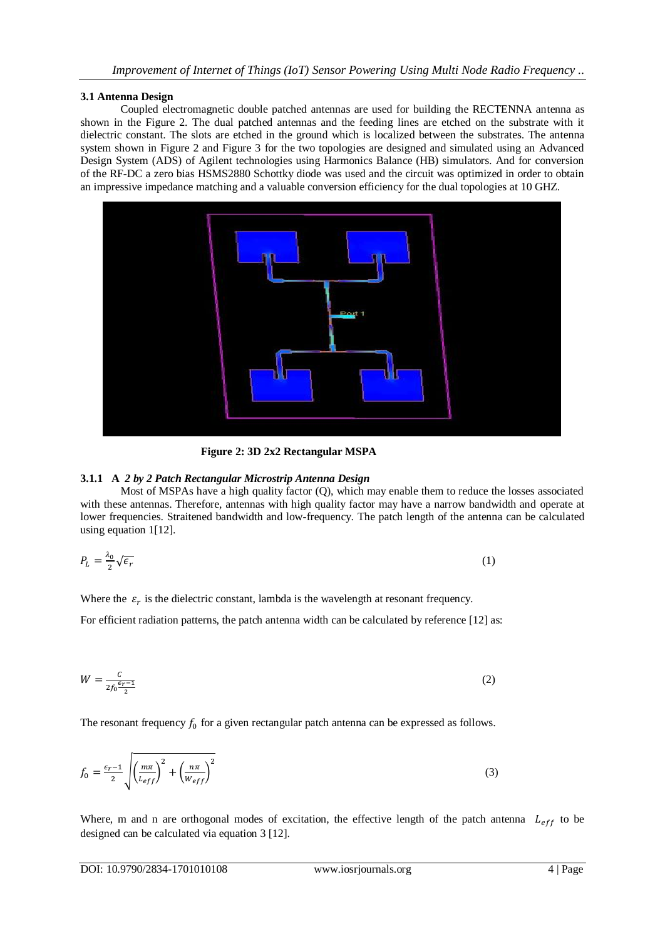## **3.1 Antenna Design**

Coupled electromagnetic double patched antennas are used for building the RECTENNA antenna as shown in the Figure 2. The dual patched antennas and the feeding lines are etched on the substrate with it dielectric constant. The slots are etched in the ground which is localized between the substrates. The antenna system shown in Figure 2 and Figure 3 for the two topologies are designed and simulated using an Advanced Design System (ADS) of Agilent technologies using Harmonics Balance (HB) simulators. And for conversion of the RF-DC a zero bias HSMS2880 Schottky diode was used and the circuit was optimized in order to obtain an impressive impedance matching and a valuable conversion efficiency for the dual topologies at 10 GHZ.



**Figure 2: 3D 2x2 Rectangular MSPA** 

## **3.1.1 A** *2 by 2 Patch Rectangular Microstrip Antenna Design*

Most of MSPAs have a high quality factor (Q), which may enable them to reduce the losses associated with these antennas. Therefore, antennas with high quality factor may have a narrow bandwidth and operate at lower frequencies. Straitened bandwidth and low-frequency. The patch length of the antenna can be calculated using equation 1[12].

$$
P_L = \frac{\lambda_0}{2} \sqrt{\epsilon_r} \tag{1}
$$

Where the  $\varepsilon_r$  is the dielectric constant, lambda is the wavelength at resonant frequency.

For efficient radiation patterns, the patch antenna width can be calculated by reference [12] as:

$$
W = \frac{c}{2f_0 \frac{\epsilon_r - 1}{2}}\tag{2}
$$

The resonant frequency  $f_0$  for a given rectangular patch antenna can be expressed as follows.

$$
f_0 = \frac{\epsilon_{r-1}}{2} \sqrt{\left(\frac{m\pi}{L_{eff}}\right)^2 + \left(\frac{n\pi}{W_{eff}}\right)^2} \tag{3}
$$

Where, m and n are orthogonal modes of excitation, the effective length of the patch antenna  $L_{eff}$  to be designed can be calculated via equation 3 [12].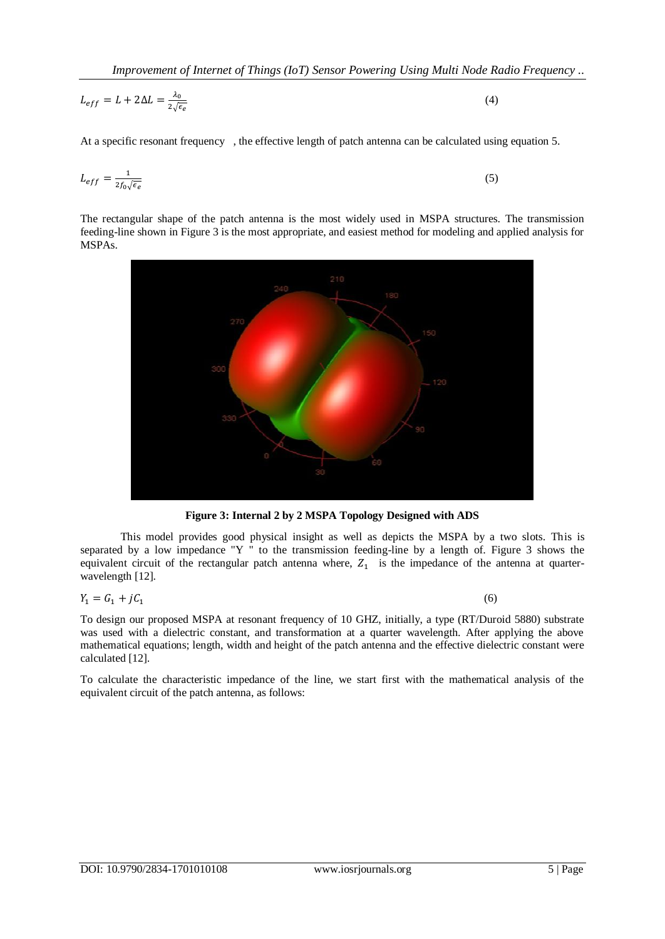$$
L_{eff} = L + 2\Delta L = \frac{\lambda_0}{2\sqrt{\epsilon_e}}\tag{4}
$$

At a specific resonant frequency , the effective length of patch antenna can be calculated using equation 5.

$$
L_{eff} = \frac{1}{2f_0\sqrt{\epsilon_e}}\tag{5}
$$

The rectangular shape of the patch antenna is the most widely used in MSPA structures. The transmission feeding-line shown in Figure 3 is the most appropriate, and easiest method for modeling and applied analysis for MSPAs.



**Figure 3: Internal 2 by 2 MSPA Topology Designed with ADS**

This model provides good physical insight as well as depicts the MSPA by a two slots. This is separated by a low impedance "Y " to the transmission feeding-line by a length of. Figure 3 shows the equivalent circuit of the rectangular patch antenna where,  $Z_1$  is the impedance of the antenna at quarterwavelength [12].

$$
Y_1 = G_1 + jC_1
$$

(6)

To design our proposed MSPA at resonant frequency of 10 GHZ, initially, a type (RT/Duroid 5880) substrate was used with a dielectric constant, and transformation at a quarter wavelength. After applying the above mathematical equations; length, width and height of the patch antenna and the effective dielectric constant were calculated [12].

To calculate the characteristic impedance of the line, we start first with the mathematical analysis of the equivalent circuit of the patch antenna, as follows: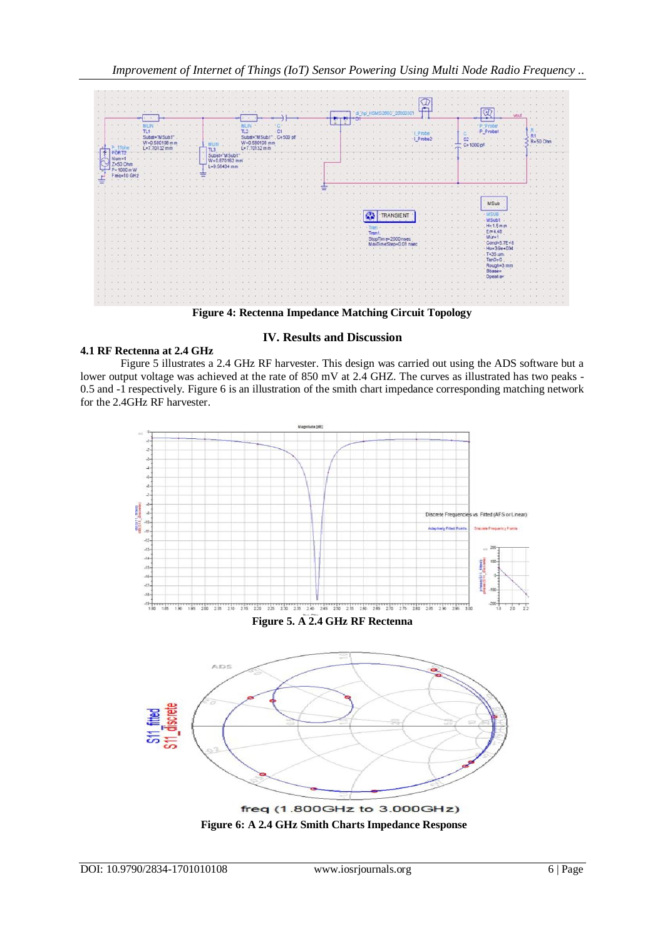

**Figure 4: Rectenna Impedance Matching Circuit Topology**

# **4.1 RF Rectenna at 2.4 GHz**

# **IV. Results and Discussion**

Figure 5 illustrates a 2.4 GHz RF harvester. This design was carried out using the ADS software but a lower output voltage was achieved at the rate of 850 mV at 2.4 GHZ. The curves as illustrated has two peaks - 0.5 and -1 respectively. Figure 6 is an illustration of the smith chart impedance corresponding matching network for the 2.4GHz RF harvester.

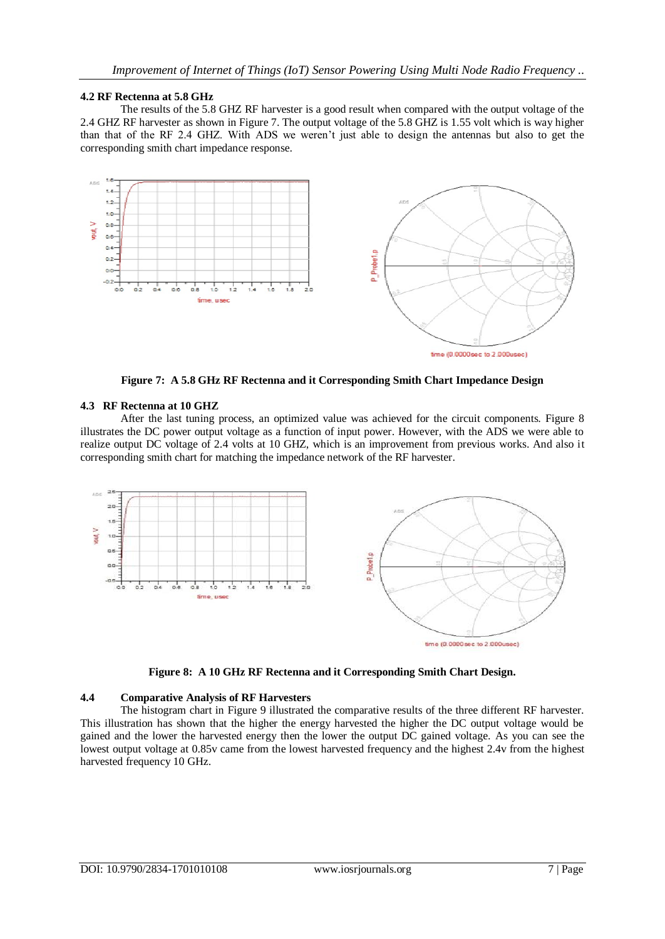#### **4.2 RF Rectenna at 5.8 GHz**

The results of the 5.8 GHZ RF harvester is a good result when compared with the output voltage of the 2.4 GHZ RF harvester as shown in Figure 7. The output voltage of the 5.8 GHZ is 1.55 volt which is way higher than that of the RF 2.4 GHZ. With ADS we weren't just able to design the antennas but also to get the corresponding smith chart impedance response.



**Figure 7: A 5.8 GHz RF Rectenna and it Corresponding Smith Chart Impedance Design**

#### **4.3 RF Rectenna at 10 GHZ**

After the last tuning process, an optimized value was achieved for the circuit components. Figure 8 illustrates the DC power output voltage as a function of input power. However, with the ADS we were able to realize output DC voltage of 2.4 volts at 10 GHZ, which is an improvement from previous works. And also it corresponding smith chart for matching the impedance network of the RF harvester.



**Figure 8: A 10 GHz RF Rectenna and it Corresponding Smith Chart Design.**

#### **4.4 Comparative Analysis of RF Harvesters**

The histogram chart in Figure 9 illustrated the comparative results of the three different RF harvester. This illustration has shown that the higher the energy harvested the higher the DC output voltage would be gained and the lower the harvested energy then the lower the output DC gained voltage. As you can see the lowest output voltage at 0.85v came from the lowest harvested frequency and the highest 2.4v from the highest harvested frequency 10 GHz.